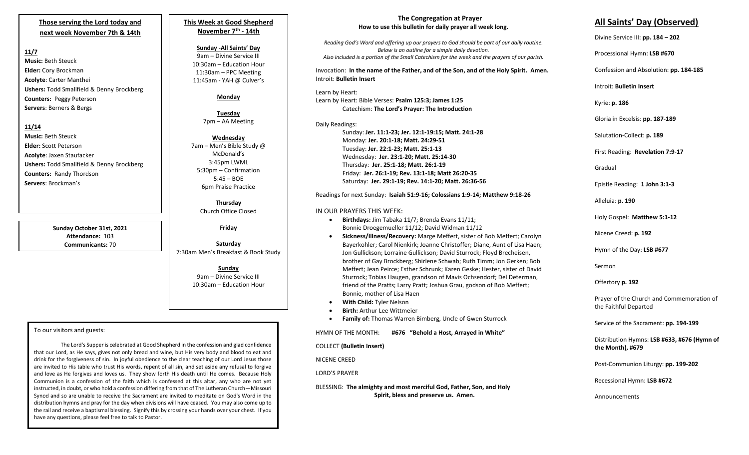# **Those serving the Lord today and next week November 7th & 14th**

# **11/7**

**Music:** Beth Steuck **Elder:** Cory Brockman **Acolyte**: Carter Manthei **Ushers:** Todd Smallfield & Denny Brockberg **Counters:** Peggy Peterson **Servers**: Berners & Bergs

# **11/14**

**Music:** Beth Steuck **Elder:** Scott Peterson **Acolyte**: Jaxen Staufacker **Ushers:** Todd Smallfield & Denny Brockberg **Counters:** Randy Thordson **Servers**: Brockman's

> **Sunday October 31st, 2021 Attendance:** 103 **Communicants:** 70

# **This Week at Good Shepherd November 7th - 14th**

# **Sunday -All Saints' Day**

9am – Divine Service III 10:30am – Education Hour 11:30am – PPC Meeting 11:45am - YAH @ Culver's

## **Monday**

**Tuesday** 7pm – AA Meeting

#### **Wednesday** 7am – Men's Bible Study @ McDonald's 3:45pm LWML 5:30pm – Confirmation 5:45 – BOE

**Thursday** Church Office Closed

6pm Praise Practice

# **Friday**

**Saturday** 7:30am Men's Breakfast & Book Study

> **Sunday** 9am – Divine Service III 10:30am – Education Hour

## To our visitors and guests:

I

The Lord's Supper is celebrated at Good Shepherd in the confession and glad confidence that our Lord, as He says, gives not only bread and wine, but His very body and blood to eat and drink for the forgiveness of sin. In joyful obedience to the clear teaching of our Lord Jesus those are invited to His table who trust His words, repent of all sin, and set aside any refusal to forgive and love as He forgives and loves us. They show forth His death until He comes. Because Holy Communion is a confession of the faith which is confessed at this altar, any who are not yet instructed, in doubt, or who hold a confession differing from that of The Lutheran Church—Missouri Synod and so are unable to receive the Sacrament are invited to meditate on God's Word in the distribution hymns and pray for the day when divisions will have ceased. You may also come up to the rail and receive a baptismal blessing. Signify this by crossing your hands over your chest. If you have any questions, please feel free to talk to Pastor.

#### **The Congregation at Prayer How to use this bulletin for daily prayer all week long.**

*Reading God's Word and offering up our prayers to God should be part of our daily routine. Below is an outline for a simple daily devotion. Also included is a portion of the Small Catechism for the week and the prayers of our parish.*

Invocation: **In the name of the Father, and of the Son, and of the Holy Spirit. Amen.** Introit: **Bulletin Insert**

## Learn by Heart:

Learn by Heart: Bible Verses: **Psalm 125:3; James 1:25** Catechism: **The Lord's Prayer: The Introduction**

Daily Readings: Sunday: **Jer. 11:1-23; Jer. 12:1-19:15; Matt. 24:1-28** Monday: **Jer. 20:1-18; Matt. 24:29-51** Tuesday: **Jer. 22:1-23; Matt. 25:1-13** Wednesday: **Jer. 23:1-20; Matt. 25:14-30** Thursday: **Jer. 25:1-18; Matt. 26:1-19** Friday: **Jer. 26:1-19; Rev. 13:1-18; Matt 26:20-35** Saturday: **Jer. 29:1-19; Rev. 14:1-20; Matt. 26:36-56**

#### Readings for next Sunday: **Isaiah 51:9-16; Colossians 1:9-14; Matthew 9:18-26**

#### IN OUR PRAYERS THIS WEEK:

- **Birthdays:** Jim Tabaka 11/7; Brenda Evans 11/11; Bonnie Droegemueller 11/12; David Widman 11/12
- **Sickness/Illness/Recovery:** Marge Meffert, sister of Bob Meffert; Carolyn Bayerkohler; Carol Nienkirk; Joanne Christoffer; Diane, Aunt of Lisa Haen; Jon Gullickson; Lorraine Gullickson; David Sturrock; Floyd Brecheisen, brother of Gay Brockberg; Shirlene Schwab; Ruth Timm; Jon Gerken; Bob Meffert; Jean Peirce; Esther Schrunk; Karen Geske; Hester, sister of David Sturrock; Tobias Haugen, grandson of Mavis Ochsendorf; Del Determan, friend of the Pratts; Larry Pratt; Joshua Grau, godson of Bob Meffert; Bonnie, mother of Lisa Haen
- **With Child:** Tyler Nelson
- **Birth:** Arthur Lee Wittmeier
- **Family of:** Thomas Warren Bimberg, Uncle of Gwen Sturrock

HYMN OF THE MONTH: **#676 "Behold a Host, Arrayed in White"**

#### COLLECT **(Bulletin Insert)**

NICENE CREED

#### LORD'S PRAYER

BLESSING: **The almighty and most merciful God, Father, Son, and Holy Spirit, bless and preserve us. Amen.**

# **All Saints' Day (Observed)**

Divine Service III: **pp. 184 – 202**

Processional Hymn: **LSB #670**

Confession and Absolution: **pp. 184-185**

Introit: **Bulletin Insert** 

Kyrie: **p. 186**

Gloria in Excelsis: **pp. 187-189**

Salutation-Collect: **p. 189**

First Reading: **Revelation 7:9-17**

Gradual

Epistle Reading: **1 John 3:1-3**

Alleluia: **p. 190**

Holy Gospel: **Matthew 5:1-12**

Nicene Creed: **p. 192**

Hymn of the Day: **LSB #677**

Sermon

Offertory **p. 192**

Prayer of the Church and Commemoration of the Faithful Departed

Service of the Sacrament: **pp. 194-199**

Distribution Hymns: **LSB #633, #676 (Hymn of the Month), #679**

Post-Communion Liturgy: **pp. 199-202** 

Recessional Hymn: **LSB #672**

Announcements